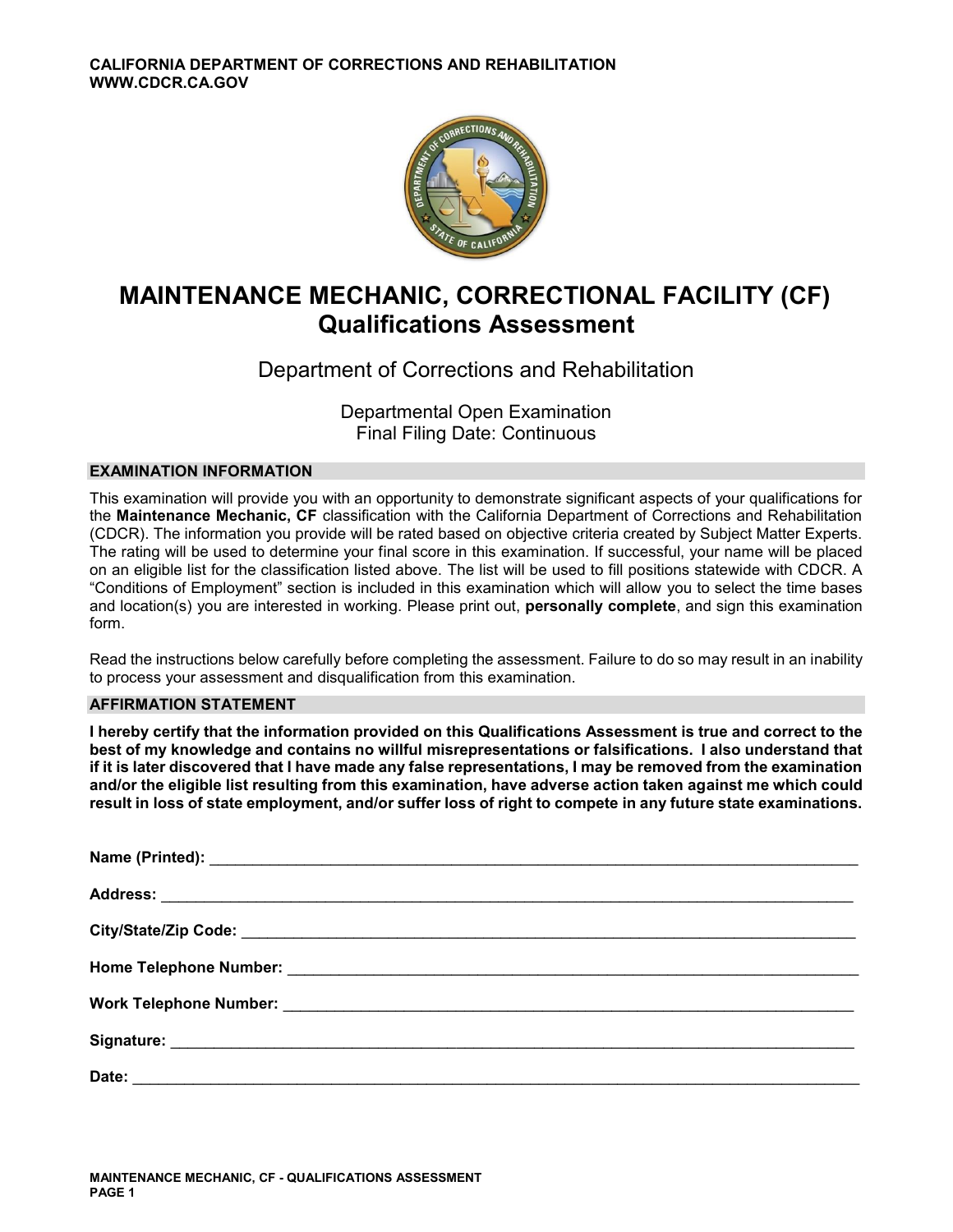

# **MAINTENANCE MECHANIC, CORRECTIONAL FACILITY (CF) Qualifications Assessment**

# Department of Corrections and Rehabilitation

Departmental Open Examination Final Filing Date: Continuous

# **EXAMINATION INFORMATION**

This examination will provide you with an opportunity to demonstrate significant aspects of your qualifications for the **Maintenance Mechanic, CF** classification with the California Department of Corrections and Rehabilitation (CDCR). The information you provide will be rated based on objective criteria created by Subject Matter Experts. The rating will be used to determine your final score in this examination. If successful, your name will be placed on an eligible list for the classification listed above. The list will be used to fill positions statewide with CDCR. A "Conditions of Employment" section is included in this examination which will allow you to select the time bases and location(s) you are interested in working. Please print out, **personally complete**, and sign this examination form.

Read the instructions below carefully before completing the assessment. Failure to do so may result in an inability to process your assessment and disqualification from this examination.

# **AFFIRMATION STATEMENT**

**I hereby certify that the information provided on this Qualifications Assessment is true and correct to the best of my knowledge and contains no willful misrepresentations or falsifications. I also understand that if it is later discovered that I have made any false representations, I may be removed from the examination and/or the eligible list resulting from this examination, have adverse action taken against me which could result in loss of state employment, and/or suffer loss of right to compete in any future state examinations.**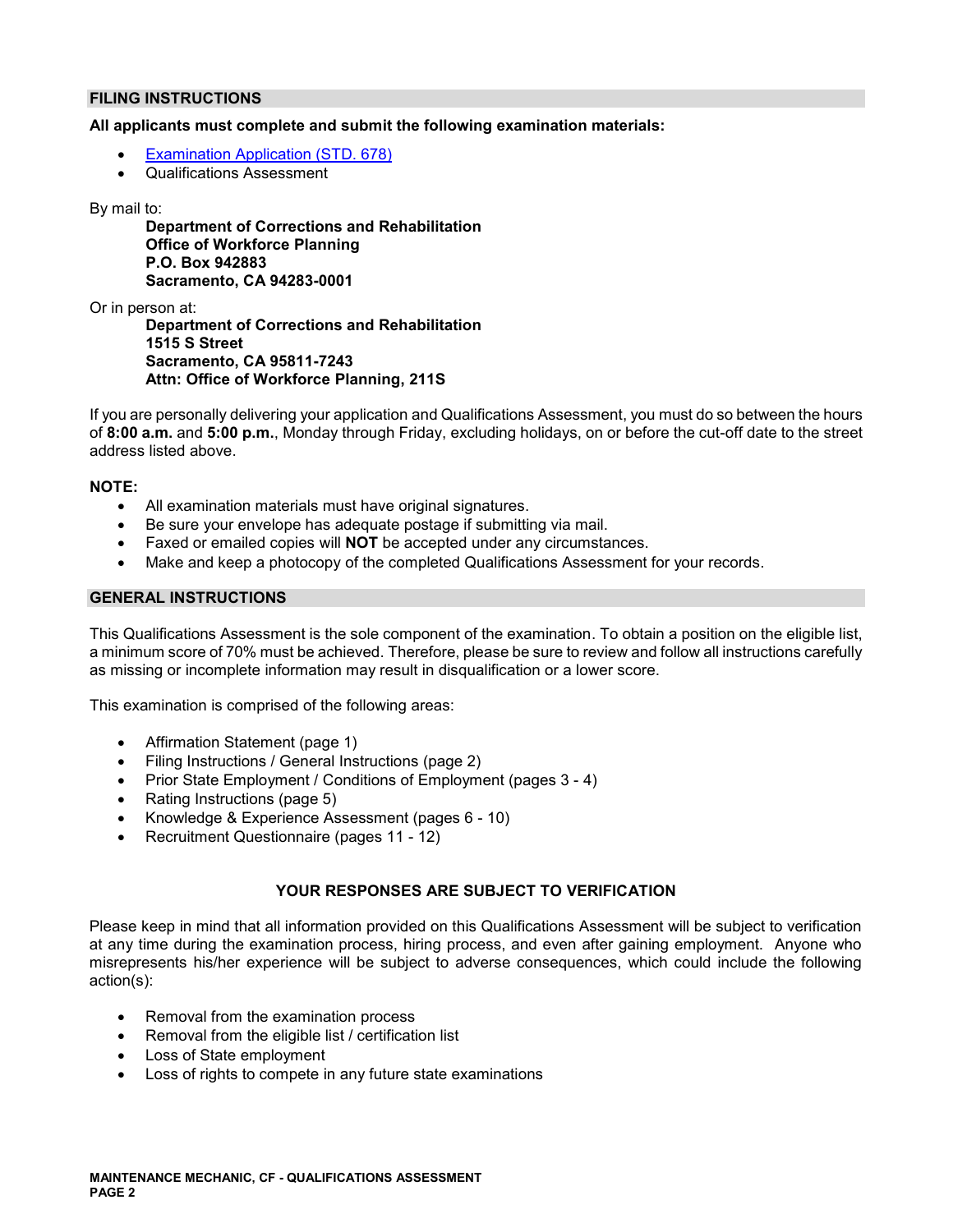# **FILING INSTRUCTIONS**

# **All applicants must complete and submit the following examination materials:**

- [Examination Application \(STD. 678\)](https://jobs.ca.gov/pdf/STD678.pdf)
- Qualifications Assessment

# By mail to:

**Department of Corrections and Rehabilitation Office of Workforce Planning P.O. Box 942883 Sacramento, CA 94283-0001** 

Or in person at:

**Department of Corrections and Rehabilitation 1515 S Street Sacramento, CA 95811-7243 Attn: Office of Workforce Planning, 211S** 

If you are personally delivering your application and Qualifications Assessment, you must do so between the hours of **8:00 a.m.** and **5:00 p.m.**, Monday through Friday, excluding holidays, on or before the cut-off date to the street address listed above.

# **NOTE:**

- All examination materials must have original signatures.
- Be sure your envelope has adequate postage if submitting via mail.
- Faxed or emailed copies will **NOT** be accepted under any circumstances.
- Make and keep a photocopy of the completed Qualifications Assessment for your records.

# **GENERAL INSTRUCTIONS**

This Qualifications Assessment is the sole component of the examination. To obtain a position on the eligible list, a minimum score of 70% must be achieved. Therefore, please be sure to review and follow all instructions carefully as missing or incomplete information may result in disqualification or a lower score.

This examination is comprised of the following areas:

- Affirmation Statement (page 1)
- Filing Instructions / General Instructions (page 2)
- Prior State Employment / Conditions of Employment (pages 3 4)
- Rating Instructions (page 5)
- Knowledge & Experience Assessment (pages 6 10)
- Recruitment Questionnaire (pages 11 12)

# **YOUR RESPONSES ARE SUBJECT TO VERIFICATION**

Please keep in mind that all information provided on this Qualifications Assessment will be subject to verification at any time during the examination process, hiring process, and even after gaining employment. Anyone who misrepresents his/her experience will be subject to adverse consequences, which could include the following action(s):

- Removal from the examination process
- Removal from the eligible list / certification list
- Loss of State employment
- Loss of rights to compete in any future state examinations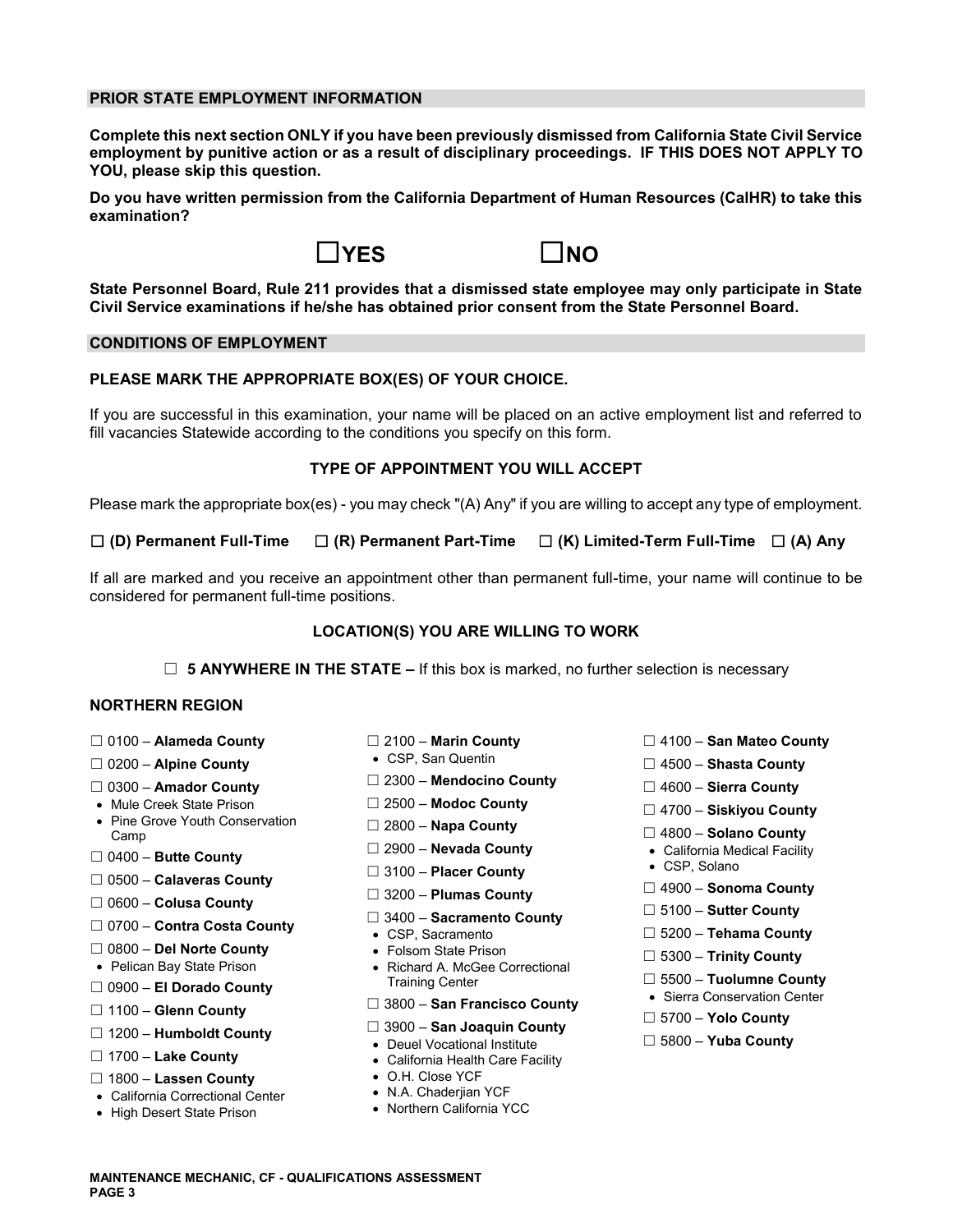# **PRIOR STATE EMPLOYMENT INFORMATION**

**Complete this next section ONLY if you have been previously dismissed from California State Civil Service employment by punitive action or as a result of disciplinary proceedings. IF THIS DOES NOT APPLY TO YOU, please skip this question.** 

**Do you have written permission from the California Department of Human Resources (CalHR) to take this examination?** 





**State Personnel Board, Rule 211 provides that a dismissed state employee may only participate in State Civil Service examinations if he/she has obtained prior consent from the State Personnel Board.** 

### **CONDITIONS OF EMPLOYMENT**

# **PLEASE MARK THE APPROPRIATE BOX(ES) OF YOUR CHOICE.**

If you are successful in this examination, your name will be placed on an active employment list and referred to fill vacancies Statewide according to the conditions you specify on this form.

### **TYPE OF APPOINTMENT YOU WILL ACCEPT**

Please mark the appropriate box(es) - you may check "(A) Any" if you are willing to accept any type of employment.

☐ **(D) Permanent Full-Time** ☐ **(R) Permanent Part-Time** ☐ **(K) Limited-Term Full-Time** ☐ **(A) Any** 

If all are marked and you receive an appointment other than permanent full-time, your name will continue to be considered for permanent full-time positions.

### **LOCATION(S) YOU ARE WILLING TO WORK**

☐ **5 ANYWHERE IN THE STATE –** If this box is marked, no further selection is necessary

### **NORTHERN REGION**

- 
- 
- 
- 
- Mule Creek State Prison ☐ 2500 **Modoc County** ☐ 4700 **Siskiyou County**  Pine Grove Youth Conservation ☐ 2800 **Napa County** Camp ☐ 4800 **Solano County**  Camp<br>
□ 2900 – **Nevada County △ Placer County △ Placer County △ Placer County → California Medical Facility**<br>
□ 3100 – **Placer County → CSP**, Solano → CSP, Solano
- 
- □ 0500 Calaveras County <br>□ 3200 **Plumas County D** 3200 **Plumas County**
- 
- ☐ 0700 **Contra Costa County**  CSP, Sacramento ☐ 5200 **Tehama County**
- 
- 
- 
- 
- 
- 
- ☐ 1800 **Lassen County**  O.H. Close YCF
- California Correctional Center N.A. Chaderjian YCF
- High Desert State Prison
- 
- 
- ☐ ☐ 2300 **Mendocino County** 0300 **Amador County** ☐ 4600 **Sierra County** 
	-
	-
	-
	-
	-
	-
	-
	-
- ☐ 0800 **Del Norte County**  Folsom State Prison ☐ 5300 **Trinity County**  Pelican Bay State Prison Richard A. McGee Correctional ☐ **El Dorado County** Training Center ☐ 5500 – **Tuolumne County** 0900 – Sierra Conservation Center
	- ☐ 3800 **San Francisco County** 1100 **Glenn County** ☐
	-
- ☐ ☐ 3900 **San Joaquin County** 1200 **Humboldt County**  Deuel Vocational Institute ☐ 5800 **Yuba County** 
	- California Health Care Facility
	-
	-
	-
- ☐ 0100 **Alameda County** ☐ 2100 **Marin County** ☐ 4100 **San Mateo County**
- ☐ **Alpine County**  CSP, San Quentin 0200 ☐ 4500 **Shasta County** 
	-
	-
	-
	-
	-
- ☐ ☐ 4900 **Sonoma County** 3200 **Plumas County** ☐ 0600 **Colusa County** 
	-
	- ☐ 5100 **Sutter County** 3400 **Sacramento County** ☐
		-
		-
		-
		- ☐ 5700 **Yolo County**
		-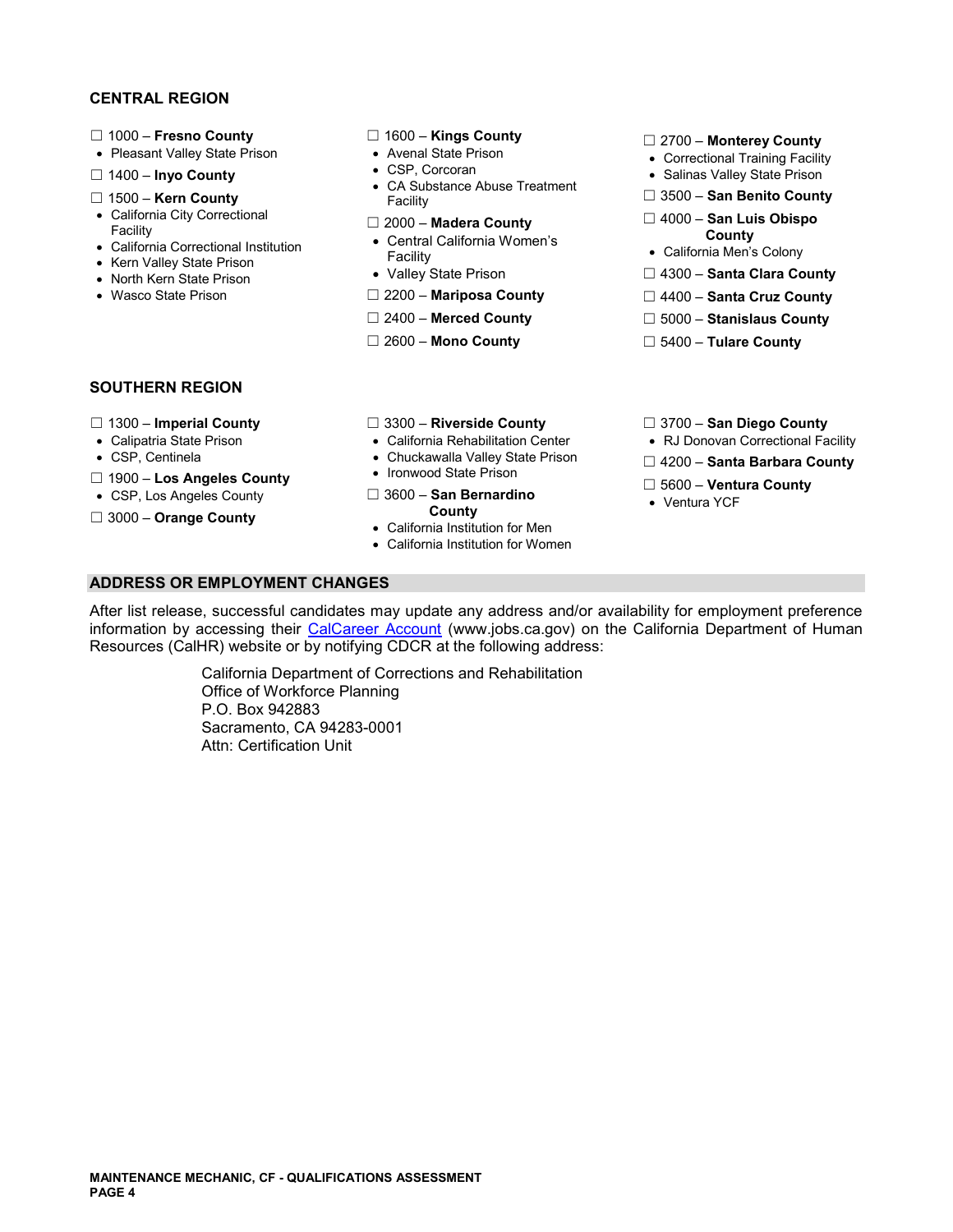# **CENTRAL REGION**

- 
- 
- 
- 
- 
- 
- 
- 
- 

- 
- 
- □ 1400 **Inyo County** <br>CA Substance Abuse Treatment **and Substance Abuse Treatment** <br>Salinas Valley State Prison <br>San Benito Count Facility Facility ☐ 1500 – **Kern County** Facility ☐ 3500 – **San Benito County** 
	-
- County<br>
California Correctional Institution California Correctional Institution California Women's<br>
Facility Facility California Men's Colony California Men's Colony<br>
North Kern State Prison Valley State Prison □ 4300
	-
	-
	-
	-

- ☐ 1000 **Fresno County** ☐ 1600 **Kings County** ☐ 2700 **Monterey County**  Pleasant Valley State Prison Avenal State Prison Correctional Training Facility
	-
	-
- California City Correctional ☐ 2000 **Madera County** ☐ 4000 **San Luis Obispo** Facility Central California Women's **County** California Correctional Institution
	-
- North Kern State Prison Valley State Prison □ 4300 **Santa Clara County**
- Wasco State Prison **□ 2200 Mariposa County Diameter Diameter State Cruz County** 
	- ☐ 2400 **Merced County** ☐ 5000 **Stanislaus County**
	- ☐ 2600 **Mono County** ☐ 5400 **Tulare County**

# **SOUTHERN REGION**

- 
- 
- 
- ☐ 1900 **Los Angeles County**  Ironwood State Prison
- 
- 
- ☐ 1300 **Imperial County** ☐ 3300 **Riverside County** ☐ 3700 **San Diego County**
- Calipatria State Prison California Rehabilitation Center RJ Donovan Correctional Facility
	-
	-
- ☐ 5600 **Ventura County**  CSP, Los Angeles County ☐ 3600 **San Bernardino**  Ventura YCF

• California Institution for Men California Institution for Women

- 
- CSP, Centinela **Chuckawalla Valley State Prison** □ 4200 **Santa Barbara County 1000 Line Arroller County** Ironwood State Prison
	-
	-

**ADDRESS OR EMPLOYMENT CHANGES** 

After list release, successful candidates may update any address and/or availability for employment preference information by accessing their [CalCareer Account](https://www.jobs.ca.gov/) (www.jobs.ca.gov) on the California Department of Human Resources (CalHR) website or by notifying CDCR at the following address:

> California Department of Corrections and Rehabilitation Office of Workforce Planning P.O. Box 942883 Sacramento, CA 94283-0001 Attn: Certification Unit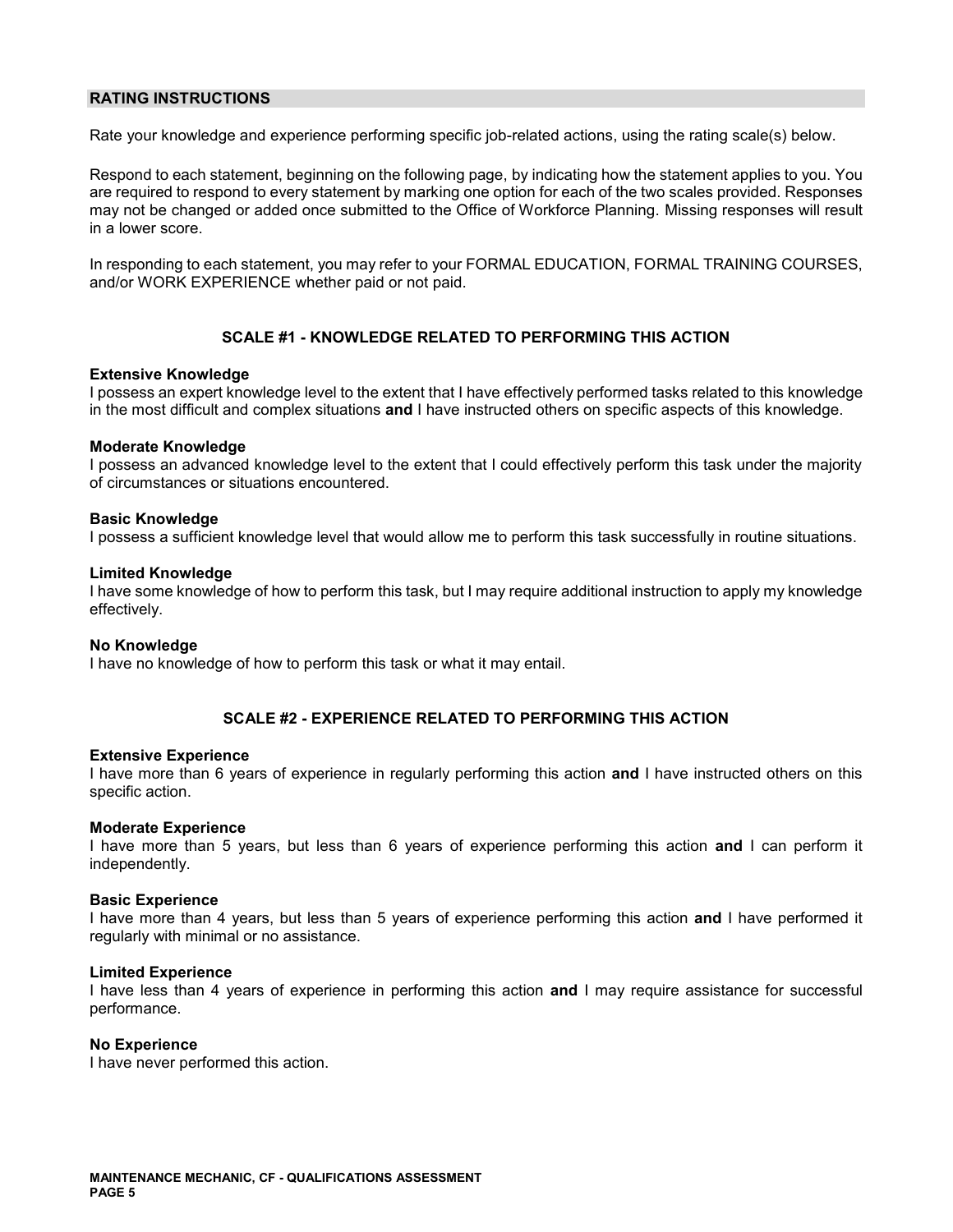# **RATING INSTRUCTIONS**

Rate your knowledge and experience performing specific job-related actions, using the rating scale(s) below.

Respond to each statement, beginning on the following page, by indicating how the statement applies to you. You are required to respond to every statement by marking one option for each of the two scales provided. Responses may not be changed or added once submitted to the Office of Workforce Planning. Missing responses will result in a lower score.

In responding to each statement, you may refer to your FORMAL EDUCATION, FORMAL TRAINING COURSES, and/or WORK EXPERIENCE whether paid or not paid.

# **SCALE #1 - KNOWLEDGE RELATED TO PERFORMING THIS ACTION**

### **Extensive Knowledge**

I possess an expert knowledge level to the extent that I have effectively performed tasks related to this knowledge in the most difficult and complex situations **and** I have instructed others on specific aspects of this knowledge.

### **Moderate Knowledge**

I possess an advanced knowledge level to the extent that I could effectively perform this task under the majority of circumstances or situations encountered.

### **Basic Knowledge**

I possess a sufficient knowledge level that would allow me to perform this task successfully in routine situations.

### **Limited Knowledge**

I have some knowledge of how to perform this task, but I may require additional instruction to apply my knowledge effectively.

### **No Knowledge**

I have no knowledge of how to perform this task or what it may entail.

# **SCALE #2 - EXPERIENCE RELATED TO PERFORMING THIS ACTION**

### **Extensive Experience**

I have more than 6 years of experience in regularly performing this action **and** I have instructed others on this specific action.

### **Moderate Experience**

I have more than 5 years, but less than 6 years of experience performing this action **and** I can perform it independently.

### **Basic Experience**

I have more than 4 years, but less than 5 years of experience performing this action **and** I have performed it regularly with minimal or no assistance.

### **Limited Experience**

I have less than 4 years of experience in performing this action **and** I may require assistance for successful performance.

# **No Experience**

I have never performed this action.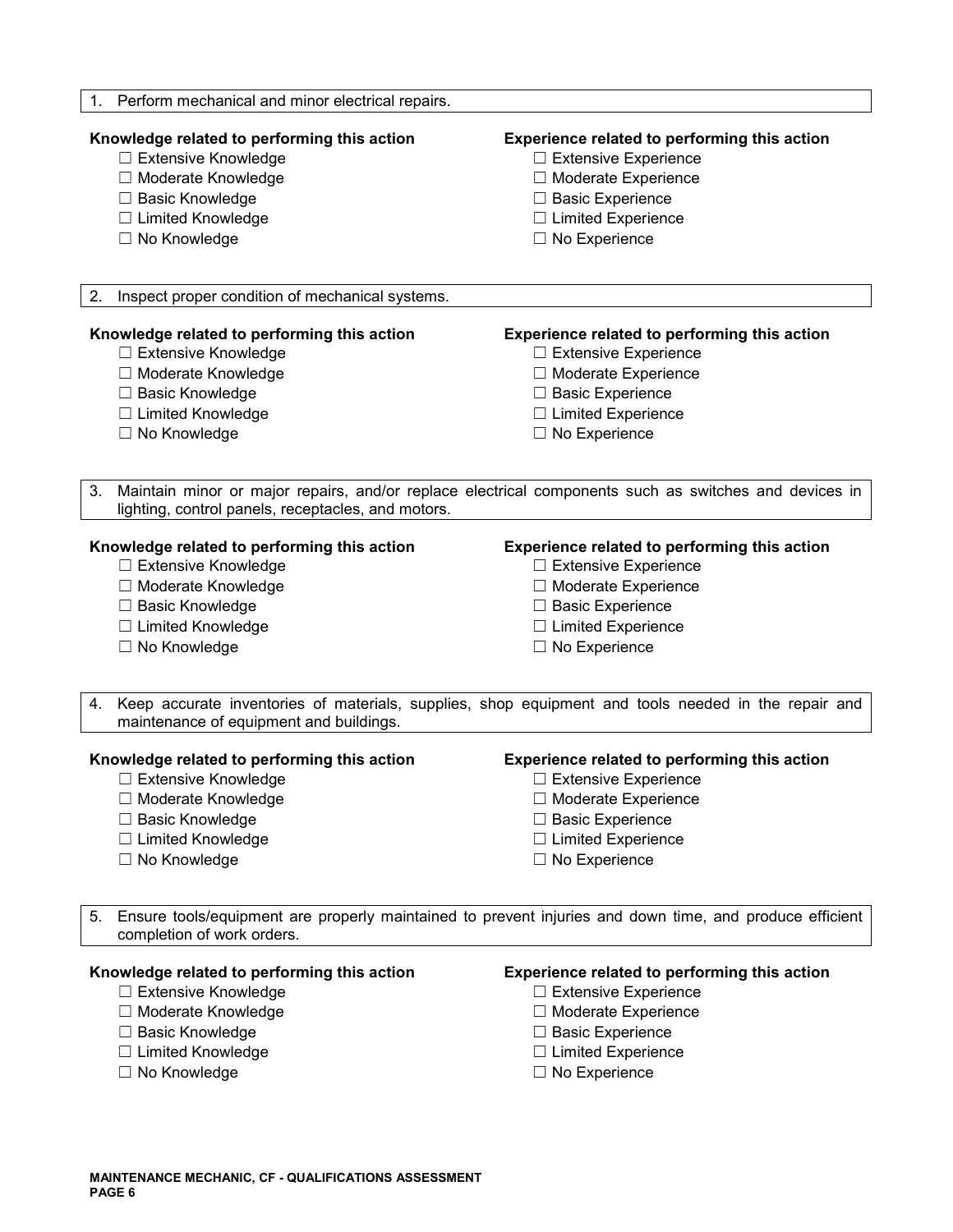| 1. | Perform mechanical and minor electrical repairs.                                                                                                                |                                                                                                                                                                                      |
|----|-----------------------------------------------------------------------------------------------------------------------------------------------------------------|--------------------------------------------------------------------------------------------------------------------------------------------------------------------------------------|
|    | Knowledge related to performing this action<br>□ Extensive Knowledge<br>□ Moderate Knowledge<br>□ Basic Knowledge<br>□ Limited Knowledge<br>□ No Knowledge      | Experience related to performing this action<br>$\Box$ Extensive Experience<br>□ Moderate Experience<br>□ Basic Experience<br>□ Limited Experience<br>$\Box$ No Experience           |
| 2. | Inspect proper condition of mechanical systems.                                                                                                                 |                                                                                                                                                                                      |
|    | Knowledge related to performing this action<br>□ Extensive Knowledge<br>□ Moderate Knowledge<br>□ Basic Knowledge<br>□ Limited Knowledge<br>□ No Knowledge      | Experience related to performing this action<br>□ Extensive Experience<br>□ Moderate Experience<br>□ Basic Experience<br>$\Box$ Limited Experience<br>$\Box$ No Experience           |
| 3. | Maintain minor or major repairs, and/or replace electrical components such as switches and devices in<br>lighting, control panels, receptacles, and motors.     |                                                                                                                                                                                      |
|    | Knowledge related to performing this action<br>□ Extensive Knowledge<br>□ Moderate Knowledge<br>□ Basic Knowledge<br>□ Limited Knowledge<br>□ No Knowledge      | Experience related to performing this action<br>$\Box$ Extensive Experience<br>□ Moderate Experience<br>$\Box$ Basic Experience<br>$\Box$ Limited Experience<br>$\Box$ No Experience |
| 4. | Keep accurate inventories of materials, supplies, shop equipment and tools needed in the repair and<br>maintenance of equipment and buildings.                  |                                                                                                                                                                                      |
|    | Knowledge related to performing this action<br>$\Box$ Extensive Knowledge<br>□ Moderate Knowledge<br>□ Basic Knowledge<br>□ Limited Knowledge<br>□ No Knowledge | Experience related to performing this action<br>$\Box$ Extensive Experience<br>$\Box$ Moderate Experience<br>□ Basic Experience<br>$\Box$ Limited Experience<br>$\Box$ No Experience |
| 5. | Ensure tools/equipment are properly maintained to prevent injuries and down time, and produce efficient<br>completion of work orders.                           |                                                                                                                                                                                      |
|    | Knowledge related to performing this action<br>□ Extensive Knowledge<br>□ Moderate Knowledge<br>□ Basic Knowledge<br>□ Limited Knowledge<br>□ No Knowledge      | Experience related to performing this action<br>$\Box$ Extensive Experience<br>□ Moderate Experience<br>□ Basic Experience<br>$\Box$ Limited Experience<br>$\Box$ No Experience      |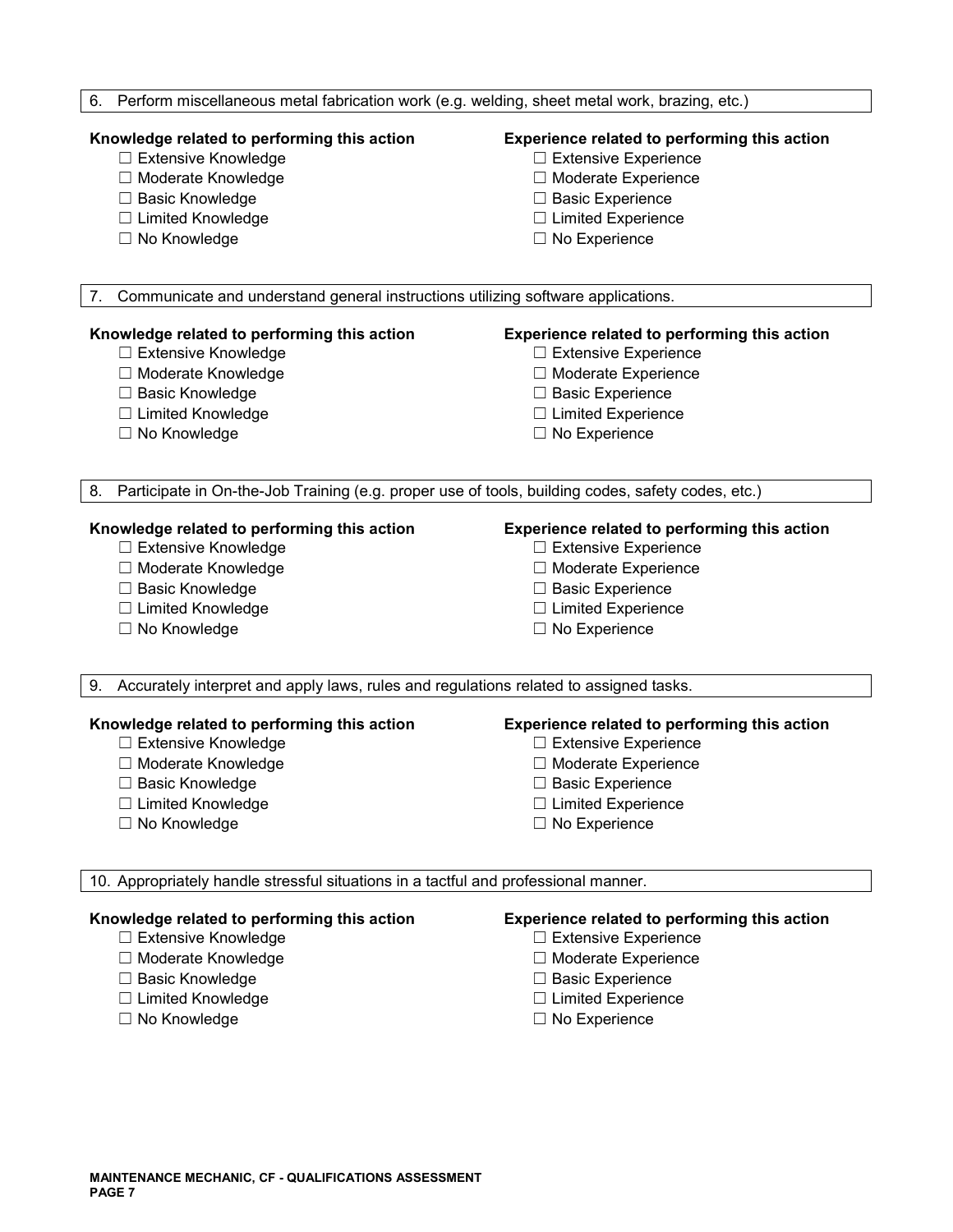### 6. Perform miscellaneous metal fabrication work (e.g. welding, sheet metal work, brazing, etc.)

# **Knowledge related to performing this action Experience related to performing this action**

- ☐ Extensive Knowledge ☐ Extensive Experience
- ☐ Moderate Knowledge ☐ Moderate Experience
- ☐ Basic Knowledge ☐ Basic Experience
- ☐ Limited Knowledge ☐ Limited Experience
- 

- 
- 
- 
- 
- ☐ No Knowledge ☐ No Experience

7. Communicate and understand general instructions utilizing software applications.

# **Knowledge related to performing this action Experience related to performing this action**

- 
- 
- 
- ☐ Limited Knowledge ☐ Limited Experience
- 

- ☐ Extensive Knowledge ☐ Extensive Experience
- ☐ Moderate Knowledge ☐ Moderate Experience
- ☐ Basic Knowledge ☐ Basic Experience
	-
- ☐ No Knowledge ☐ No Experience

8. Participate in On-the-Job Training (e.g. proper use of tools, building codes, safety codes, etc.)

- 
- 
- 
- 
- 

### **Knowledge related to performing this action Experience related to performing this action**

- ☐ Extensive Knowledge ☐ Extensive Experience
- ☐ Moderate Knowledge ☐ Moderate Experience
- ☐ Basic Knowledge ☐ Basic Experience
- ☐ Limited Knowledge ☐ Limited Experience
- ☐ No Knowledge ☐ No Experience

9. Accurately interpret and apply laws, rules and regulations related to assigned tasks.

# **Knowledge related to performing this action Experience related to performing this action**

- 
- 
- 
- 
- 

- ☐ Extensive Knowledge ☐ Extensive Experience
- ☐ Moderate Knowledge ☐ Moderate Experience
- ☐ Basic Knowledge ☐ Basic Experience
- ☐ Limited Knowledge ☐ Limited Experience
- ☐ No Knowledge ☐ No Experience

10. Appropriately handle stressful situations in a tactful and professional manner.

# **Knowledge related to performing this action Experience related to performing this action**

- 
- ☐ Moderate Knowledge ☐ Moderate Experience
- 
- ☐ Limited Knowledge ☐ Limited Experience
- ☐ No Knowledge ☐ No Experience

- ☐ Extensive Knowledge ☐ Extensive Experience
	-
- ☐ Basic Knowledge ☐ Basic Experience
	-
	-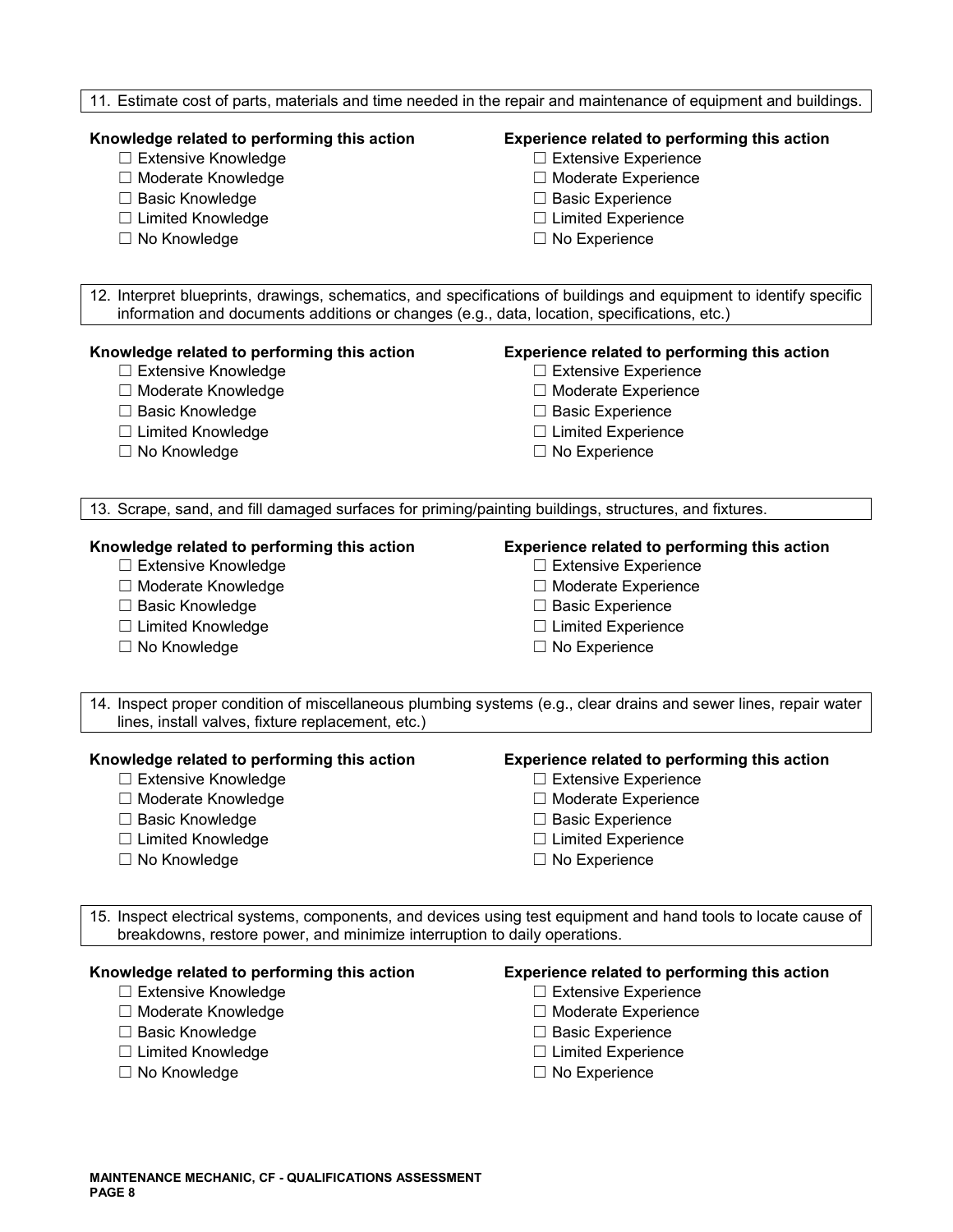### 11. Estimate cost of parts, materials and time needed in the repair and maintenance of equipment and buildings.

- ☐ Extensive Knowledge ☐ Extensive Experience
- ☐ Moderate Knowledge ☐ Moderate Experience
- ☐ Basic Knowledge ☐ Basic Experience
- ☐ Limited Knowledge ☐ Limited Experience
- ☐ No Knowledge ☐ No Experience

# **Knowledge related to performing this action Experience related to performing this action**

- 
- 
- 
- 
- 

12. Interpret blueprints, drawings, schematics, and specifications of buildings and equipment to identify specific information and documents additions or changes (e.g., data, location, specifications, etc.)

### **Knowledge related to performing this action Experience related to performing this action**

- ☐ Extensive Knowledge ☐ Extensive Experience
- ☐ Moderate Knowledge ☐ Moderate Experience
- ☐ Basic Knowledge ☐ Basic Experience
- ☐ Limited Knowledge ☐ Limited Experience
- 

- 
- 
- 
- 
- ☐ No Knowledge ☐ No Experience

13. Scrape, sand, and fill damaged surfaces for priming/painting buildings, structures, and fixtures.

- ☐ Extensive Knowledge ☐ Extensive Experience
- 
- 
- ☐ Limited Knowledge ☐ Limited Experience
- ☐ No Knowledge ☐ No Experience

### **Knowledge related to performing this action Experience related to performing this action**

- 
- ☐ Moderate Knowledge ☐ Moderate Experience
- ☐ Basic Knowledge ☐ Basic Experience
	-
	-

14. Inspect proper condition of miscellaneous plumbing systems (e.g., clear drains and sewer lines, repair water lines, install valves, fixture replacement, etc.)

### **Knowledge related to performing this action Experience related to performing this action**

- 
- 
- 
- ☐ Limited Knowledge ☐ Limited Experience
- 

- ☐ Extensive Knowledge ☐ Extensive Experience
- ☐ Moderate Knowledge ☐ Moderate Experience
- ☐ Basic Knowledge ☐ Basic Experience
	-
- ☐ No Knowledge ☐ No Experience

15. Inspect electrical systems, components, and devices using test equipment and hand tools to locate cause of breakdowns, restore power, and minimize interruption to daily operations.

- ☐ Extensive Knowledge ☐ Extensive Experience
- ☐ Moderate Knowledge ☐ Moderate Experience
- ☐ Basic Knowledge ☐ Basic Experience
- ☐ Limited Knowledge ☐ Limited Experience
- 

### **Knowledge related to performing this action Experience related to performing this action**

- 
- 
- 
- 
- ☐ No Knowledge ☐ No Experience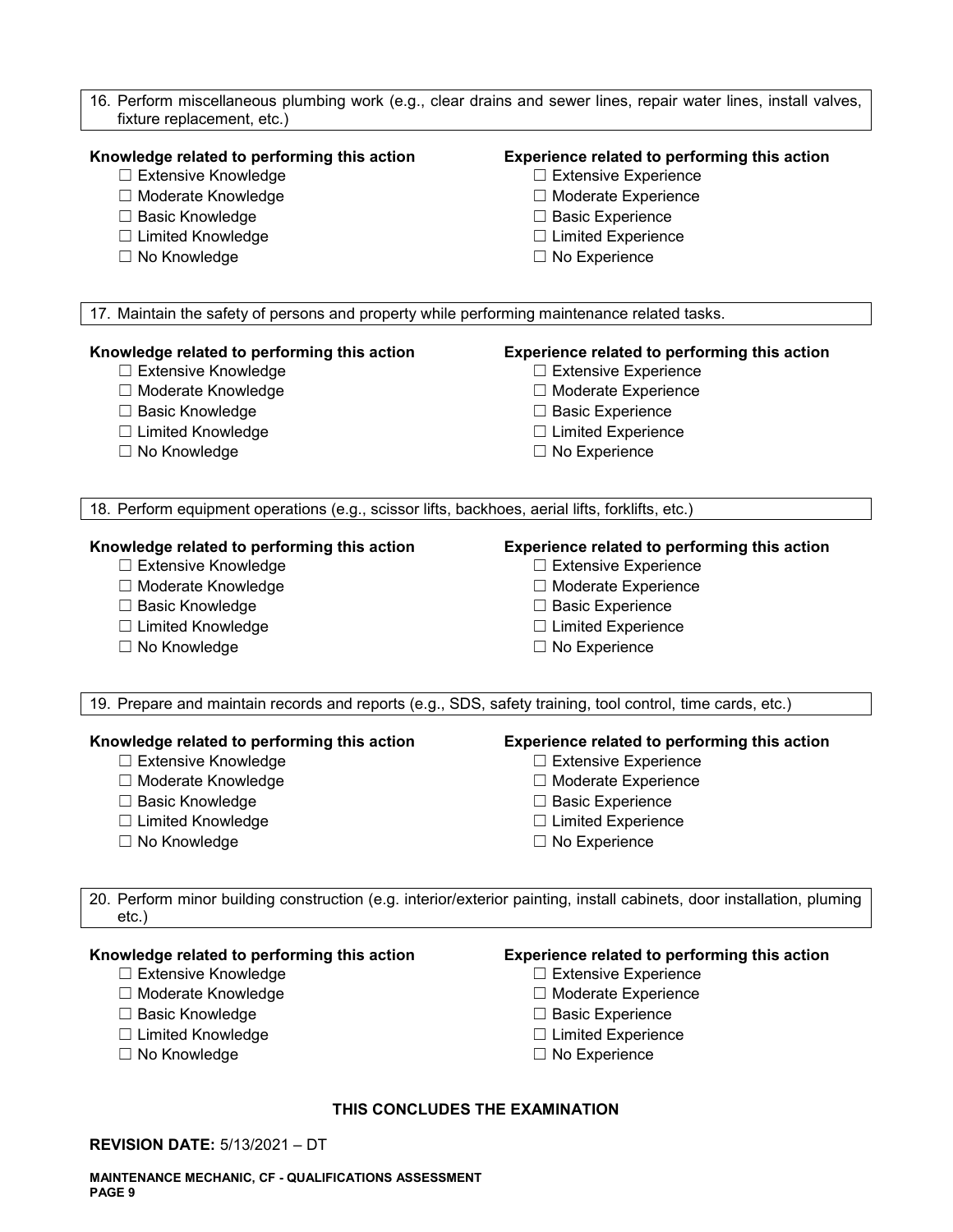| 16. Perform miscellaneous plumbing work (e.g., clear drains and sewer lines, repair water lines, install valves,<br>fixture replacement, etc.) |                                                                                                                        |  |  |  |
|------------------------------------------------------------------------------------------------------------------------------------------------|------------------------------------------------------------------------------------------------------------------------|--|--|--|
| Knowledge related to performing this action                                                                                                    | Experience related to performing this action                                                                           |  |  |  |
| □ Extensive Knowledge                                                                                                                          | □ Extensive Experience                                                                                                 |  |  |  |
| □ Moderate Knowledge                                                                                                                           | □ Moderate Experience                                                                                                  |  |  |  |
| □ Basic Knowledge                                                                                                                              | □ Basic Experience                                                                                                     |  |  |  |
| □ Limited Knowledge                                                                                                                            | $\Box$ Limited Experience                                                                                              |  |  |  |
| □ No Knowledge                                                                                                                                 | $\Box$ No Experience                                                                                                   |  |  |  |
| 17. Maintain the safety of persons and property while performing maintenance related tasks.                                                    |                                                                                                                        |  |  |  |
|                                                                                                                                                |                                                                                                                        |  |  |  |
| Knowledge related to performing this action                                                                                                    | Experience related to performing this action                                                                           |  |  |  |
| □ Extensive Knowledge                                                                                                                          | $\Box$ Extensive Experience                                                                                            |  |  |  |
| □ Moderate Knowledge                                                                                                                           | □ Moderate Experience                                                                                                  |  |  |  |
| □ Basic Knowledge                                                                                                                              | □ Basic Experience                                                                                                     |  |  |  |
| □ Limited Knowledge                                                                                                                            | □ Limited Experience                                                                                                   |  |  |  |
| $\Box$ No Knowledge                                                                                                                            | $\Box$ No Experience                                                                                                   |  |  |  |
| 18. Perform equipment operations (e.g., scissor lifts, backhoes, aerial lifts, forklifts, etc.)                                                |                                                                                                                        |  |  |  |
|                                                                                                                                                |                                                                                                                        |  |  |  |
| Knowledge related to performing this action<br>□ Extensive Knowledge                                                                           | <b>Experience related to performing this action</b><br>$\Box$ Extensive Experience                                     |  |  |  |
| □ Moderate Knowledge                                                                                                                           | □ Moderate Experience                                                                                                  |  |  |  |
| □ Basic Knowledge                                                                                                                              | □ Basic Experience                                                                                                     |  |  |  |
| □ Limited Knowledge                                                                                                                            | $\Box$ Limited Experience                                                                                              |  |  |  |
| □ No Knowledge                                                                                                                                 | $\Box$ No Experience                                                                                                   |  |  |  |
| 19. Prepare and maintain records and reports (e.g., SDS, safety training, tool control, time cards, etc.)                                      |                                                                                                                        |  |  |  |
|                                                                                                                                                |                                                                                                                        |  |  |  |
| Knowledge related to performing this action<br>□ Extensive Knowledge                                                                           | Experience related to performing this action<br>$\Box$ Extensive Experience                                            |  |  |  |
| $\Box$ Moderate Knowledge                                                                                                                      | $\Box$ Moderate Experience                                                                                             |  |  |  |
| $\Box$ Basic Knowledge                                                                                                                         | $\Box$ Basic Experience                                                                                                |  |  |  |
| □ Limited Knowledge                                                                                                                            | $\Box$ Limited Experience                                                                                              |  |  |  |
| □ No Knowledge                                                                                                                                 | $\Box$ No Experience                                                                                                   |  |  |  |
| etc.)                                                                                                                                          | 20. Perform minor building construction (e.g. interior/exterior painting, install cabinets, door installation, pluming |  |  |  |
| Knowledge related to performing this action                                                                                                    | Experience related to performing this action                                                                           |  |  |  |
| □ Extensive Knowledge                                                                                                                          | $\Box$ Extensive Experience                                                                                            |  |  |  |
| □ Moderate Knowledge                                                                                                                           | $\Box$ Moderate Experience                                                                                             |  |  |  |
| □ Basic Knowledge                                                                                                                              | $\Box$ Basic Experience                                                                                                |  |  |  |
| □ Limited Knowledge                                                                                                                            | $\Box$ Limited Experience                                                                                              |  |  |  |
| $\Box$ No Knowledge                                                                                                                            | $\Box$ No Experience                                                                                                   |  |  |  |
|                                                                                                                                                |                                                                                                                        |  |  |  |

# **THIS CONCLUDES THE EXAMINATION**

**REVISION DATE:** 5/13/2021 – DT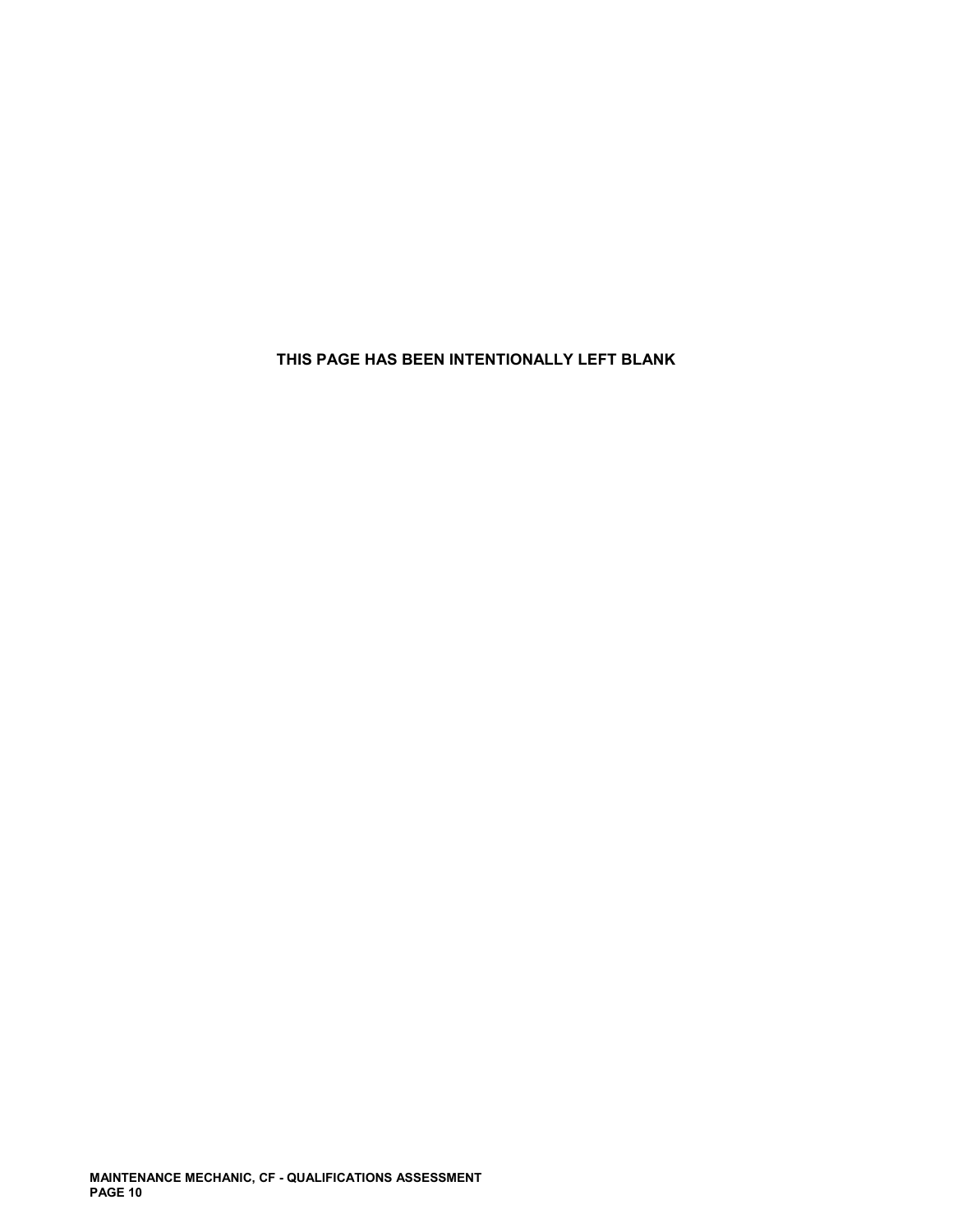**THIS PAGE HAS BEEN INTENTIONALLY LEFT BLANK**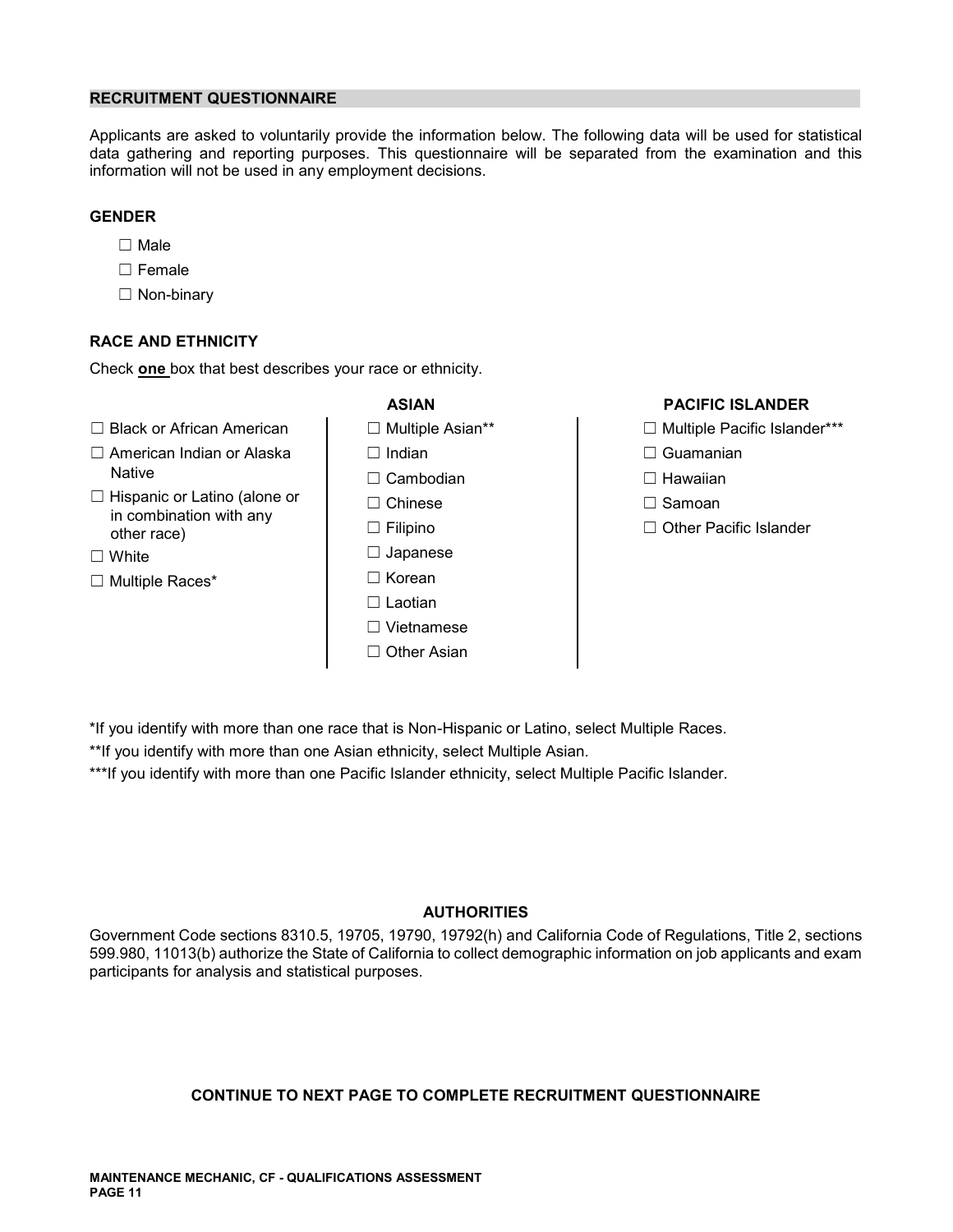# **RECRUITMENT QUESTIONNAIRE**

Applicants are asked to voluntarily provide the information below. The following data will be used for statistical data gathering and reporting purposes. This questionnaire will be separated from the examination and this information will not be used in any employment decisions.

# **GENDER**

- ☐ Male
- ☐ Female
- ☐ Non-binary

# **RACE AND ETHNICITY**

Check **one** box that best describes your race or ethnicity.

- ☐ Black or African American ☐ Multiple Asian\*\* ☐ Multiple Pacific Islander\*\*\*
- ☐ American Indian or Alaska ☐ Indian ☐ Guamanian
- ☐ Hispanic or Latino (alone or ☐ Chinese ☐ Samoan in combination with any other race) ☐ Filipino ☐ Other Pacific Islander
- 
- 
- Native ☐ Cambodian ☐ Hawaiian ☐ White ☐ Japanese ☐ Multiple Races\* ☐ Korean ☐ Laotian ☐ Vietnamese ☐ Other Asian

# **ASIAN PACIFIC ISLANDER**

- 
- 
- 
- 
- 

- \*If you identify with more than one race that is Non-Hispanic or Latino, select Multiple Races.
- \*\*If you identify with more than one Asian ethnicity, select Multiple Asian.

\*\*\*If you identify with more than one Pacific Islander ethnicity, select Multiple Pacific Islander.

# **AUTHORITIES**

Government Code sections 8310.5, 19705, 19790, 19792(h) and California Code of Regulations, Title 2, sections 599.980, 11013(b) authorize the State of California to collect demographic information on job applicants and exam participants for analysis and statistical purposes.

# **CONTINUE TO NEXT PAGE TO COMPLETE RECRUITMENT QUESTIONNAIRE**